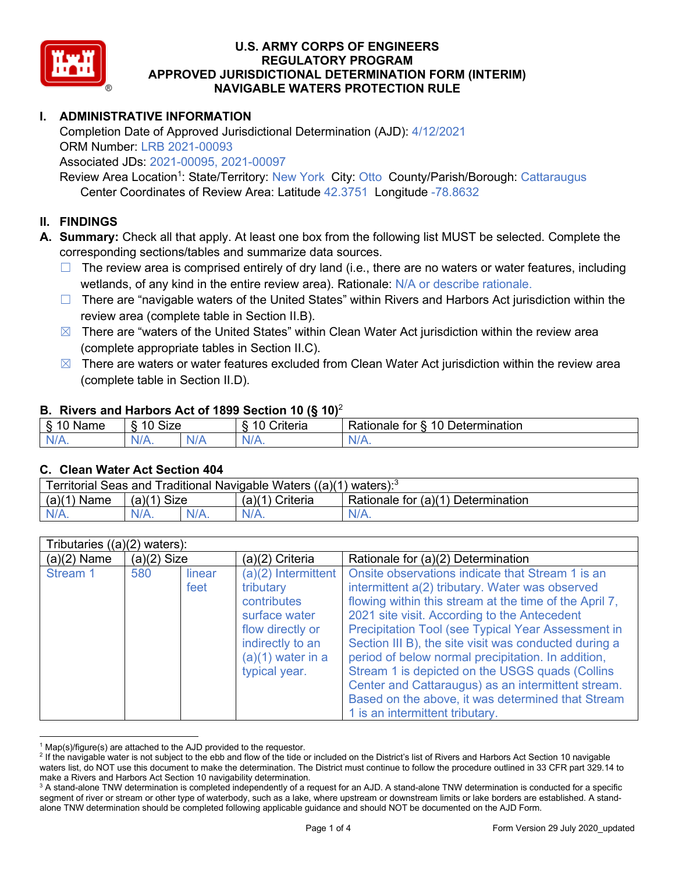

## **I. ADMINISTRATIVE INFORMATION**

Completion Date of Approved Jurisdictional Determination (AJD): 4/12/2021 ORM Number: LRB 2021-00093

Associated JDs: 2021-00095, 2021-00097

Review Area Location<sup>1</sup>: State/Territory: New York City: Otto County/Parish/Borough: Cattaraugus Center Coordinates of Review Area: Latitude 42.3751 Longitude -78.8632

### **II. FINDINGS**

**A. Summary:** Check all that apply. At least one box from the following list MUST be selected. Complete the corresponding sections/tables and summarize data sources.

- $\Box$  The review area is comprised entirely of dry land (i.e., there are no waters or water features, including wetlands, of any kind in the entire review area). Rationale: N/A or describe rationale.
- $\Box$  There are "navigable waters of the United States" within Rivers and Harbors Act jurisdiction within the review area (complete table in Section II.B).
- $\boxtimes$  There are "waters of the United States" within Clean Water Act jurisdiction within the review area (complete appropriate tables in Section II.C).
- $\boxtimes$  There are waters or water features excluded from Clean Water Act jurisdiction within the review area (complete table in Section II.D).

#### **B. Rivers and Harbors Act of 1899 Section 10 (§ 10)**<sup>2</sup>

| $\cdot$                   |                      |        |                                                             |                                                 |  |  |  |
|---------------------------|----------------------|--------|-------------------------------------------------------------|-------------------------------------------------|--|--|--|
| $\sim$<br>$-$<br>ame<br>◡ | 10<br>$\sim$<br>SIZE |        | .<br>10<br>$^{\circ}$ rıt $\cap$ rı $\cap$<br><b>AILCIT</b> | Determination<br>$\sqrt{ }$<br>Rationale<br>tor |  |  |  |
| $N/A$ .                   | ו גו<br>97 / TV .    | w<br>. | $N/A$ .                                                     | $N_{\ell}$<br>$\mathbf{v}$                      |  |  |  |

#### **C. Clean Water Act Section 404**

| Territorial Seas and Traditional Navigable Waters $((a)(1)$ waters): <sup>3</sup> |                |  |                 |                                    |  |  |
|-----------------------------------------------------------------------------------|----------------|--|-----------------|------------------------------------|--|--|
| (a)(1)<br>Name                                                                    | Size<br>(a)(1) |  | (a)(1) Criteria | Rationale for (a)(1) Determination |  |  |
|                                                                                   | $N/A$ .        |  | $N/A$ .         | $N/A$ .                            |  |  |

| Tributaries $((a)(2)$ waters): |               |                |                                                                                                                                                    |                                                                                                                                                                                                                                                                                                                                                                                                                                                                                                                                                                                     |  |  |
|--------------------------------|---------------|----------------|----------------------------------------------------------------------------------------------------------------------------------------------------|-------------------------------------------------------------------------------------------------------------------------------------------------------------------------------------------------------------------------------------------------------------------------------------------------------------------------------------------------------------------------------------------------------------------------------------------------------------------------------------------------------------------------------------------------------------------------------------|--|--|
| $(a)(2)$ Name                  | $(a)(2)$ Size |                | $(a)(2)$ Criteria                                                                                                                                  | Rationale for (a)(2) Determination                                                                                                                                                                                                                                                                                                                                                                                                                                                                                                                                                  |  |  |
| Stream 1                       | 580           | linear<br>feet | $(a)(2)$ Intermittent<br>tributary<br>contributes<br>surface water<br>flow directly or<br>indirectly to an<br>$(a)(1)$ water in a<br>typical year. | Onsite observations indicate that Stream 1 is an<br>intermittent a(2) tributary. Water was observed<br>flowing within this stream at the time of the April 7,<br>2021 site visit. According to the Antecedent<br>Precipitation Tool (see Typical Year Assessment in<br>Section III B), the site visit was conducted during a<br>period of below normal precipitation. In addition,<br>Stream 1 is depicted on the USGS quads (Collins<br>Center and Cattaraugus) as an intermittent stream.<br>Based on the above, it was determined that Stream<br>1 is an intermittent tributary. |  |  |

 $1$  Map(s)/figure(s) are attached to the AJD provided to the requestor.

<sup>&</sup>lt;sup>2</sup> If the navigable water is not subject to the ebb and flow of the tide or included on the District's list of Rivers and Harbors Act Section 10 navigable waters list, do NOT use this document to make the determination. The District must continue to follow the procedure outlined in 33 CFR part 329.14 to make a Rivers and Harbors Act Section 10 navigability determination.

<sup>&</sup>lt;sup>3</sup> A stand-alone TNW determination is completed independently of a request for an AJD. A stand-alone TNW determination is conducted for a specific segment of river or stream or other type of waterbody, such as a lake, where upstream or downstream limits or lake borders are established. A standalone TNW determination should be completed following applicable guidance and should NOT be documented on the AJD Form.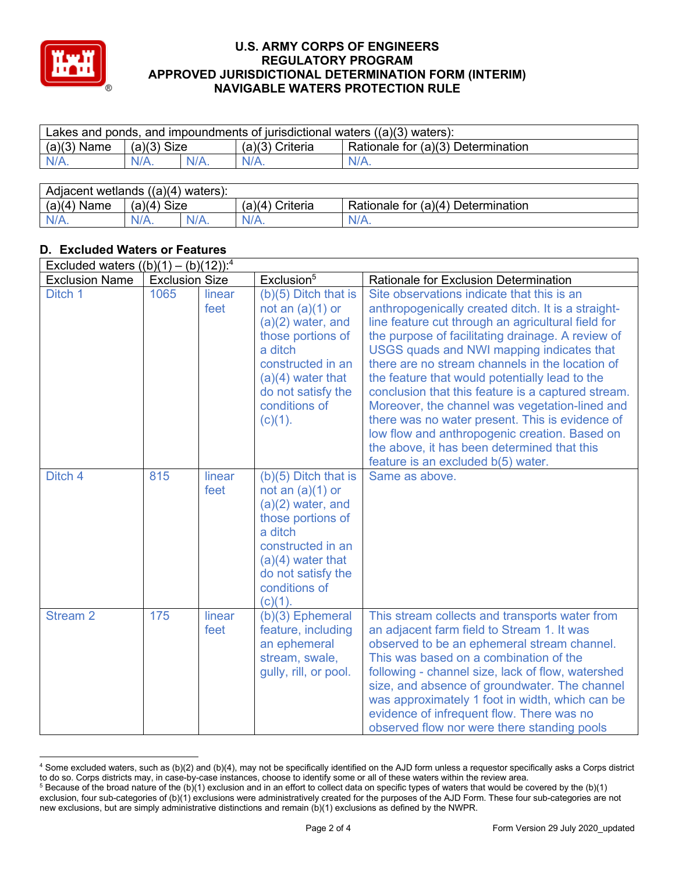

| Lakes and ponds, and impoundments of jurisdictional waters $((a)(3)$ waters): |               |         |                   |                                    |  |  |
|-------------------------------------------------------------------------------|---------------|---------|-------------------|------------------------------------|--|--|
| $(a)(3)$ Name                                                                 | $(a)(3)$ Size |         | $(a)(3)$ Criteria | Rationale for (a)(3) Determination |  |  |
| N/A.                                                                          | $N/A$ .       | $N/A$ . | $N/A$ .           | $N/A$ .                            |  |  |

| Adjacent<br>((a)(4))<br>wetlands<br>\ waters ): |                      |         |                   |                                            |  |  |
|-------------------------------------------------|----------------------|---------|-------------------|--------------------------------------------|--|--|
| (a)(4)<br>Name                                  | <b>Size</b><br>(a)(4 |         | Criteria<br>(a)(4 | Ⅰ Determination<br>Rationale for<br>(a)(4) |  |  |
| N/A.                                            | N/A.                 | $N/A$ . | $N/A$ .           | N/A.                                       |  |  |

## **D. Excluded Waters or Features**

| Excluded waters $((b)(1) - (b)(12))$ : <sup>4</sup> |                       |                |                                                                                                                                                                                                   |                                                                                                                                                                                                                                                                                                                                                                                                                                                                                                                                                                                                                                                                |  |
|-----------------------------------------------------|-----------------------|----------------|---------------------------------------------------------------------------------------------------------------------------------------------------------------------------------------------------|----------------------------------------------------------------------------------------------------------------------------------------------------------------------------------------------------------------------------------------------------------------------------------------------------------------------------------------------------------------------------------------------------------------------------------------------------------------------------------------------------------------------------------------------------------------------------------------------------------------------------------------------------------------|--|
| <b>Exclusion Name</b>                               | <b>Exclusion Size</b> |                | Exclusion <sup>5</sup>                                                                                                                                                                            | <b>Rationale for Exclusion Determination</b>                                                                                                                                                                                                                                                                                                                                                                                                                                                                                                                                                                                                                   |  |
| Ditch 1                                             | 1065                  | linear<br>feet | $(b)(5)$ Ditch that is<br>not an $(a)(1)$ or<br>$(a)(2)$ water, and<br>those portions of<br>a ditch<br>constructed in an<br>$(a)(4)$ water that<br>do not satisfy the<br>conditions of<br>(c)(1). | Site observations indicate that this is an<br>anthropogenically created ditch. It is a straight-<br>line feature cut through an agricultural field for<br>the purpose of facilitating drainage. A review of<br>USGS quads and NWI mapping indicates that<br>there are no stream channels in the location of<br>the feature that would potentially lead to the<br>conclusion that this feature is a captured stream.<br>Moreover, the channel was vegetation-lined and<br>there was no water present. This is evidence of<br>low flow and anthropogenic creation. Based on<br>the above, it has been determined that this<br>feature is an excluded b(5) water. |  |
| Ditch 4                                             | 815                   | linear<br>feet | $(b)(5)$ Ditch that is<br>not an $(a)(1)$ or<br>$(a)(2)$ water, and<br>those portions of<br>a ditch<br>constructed in an<br>$(a)(4)$ water that<br>do not satisfy the<br>conditions of<br>(c)(1). | Same as above.                                                                                                                                                                                                                                                                                                                                                                                                                                                                                                                                                                                                                                                 |  |
| <b>Stream 2</b>                                     | 175                   | linear<br>feet | (b)(3) Ephemeral<br>feature, including<br>an ephemeral<br>stream, swale,<br>gully, rill, or pool.                                                                                                 | This stream collects and transports water from<br>an adjacent farm field to Stream 1. It was<br>observed to be an ephemeral stream channel.<br>This was based on a combination of the<br>following - channel size, lack of flow, watershed<br>size, and absence of groundwater. The channel<br>was approximately 1 foot in width, which can be<br>evidence of infrequent flow. There was no<br>observed flow nor were there standing pools                                                                                                                                                                                                                     |  |

<sup>4</sup> Some excluded waters, such as (b)(2) and (b)(4), may not be specifically identified on the AJD form unless a requestor specifically asks a Corps district to do so. Corps districts may, in case-by-case instances, choose to identify some or all of these waters within the review area.

 $5$  Because of the broad nature of the (b)(1) exclusion and in an effort to collect data on specific types of waters that would be covered by the (b)(1) exclusion, four sub-categories of (b)(1) exclusions were administratively created for the purposes of the AJD Form. These four sub-categories are not new exclusions, but are simply administrative distinctions and remain (b)(1) exclusions as defined by the NWPR.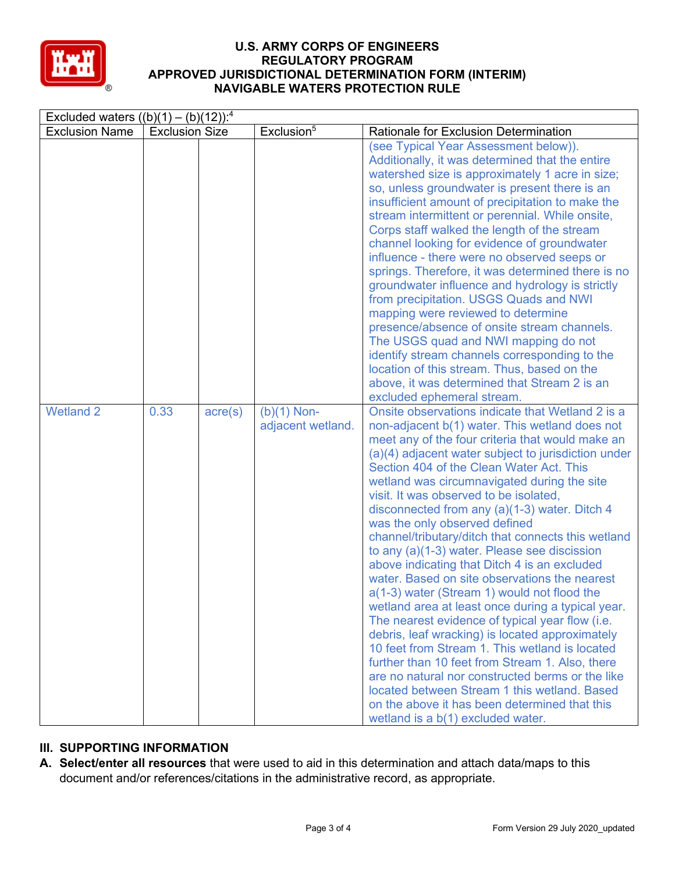

| Excluded waters $((b)(1) - (b)(12))$ : <sup>4</sup> |                       |                  |                                    |                                                                                                                                                                                                                                                                                                                                                                                                                                                                                                                                                                                                                                                                                                                                                                                                                                                                                                                                                                                                                                                                                                                                                      |  |  |
|-----------------------------------------------------|-----------------------|------------------|------------------------------------|------------------------------------------------------------------------------------------------------------------------------------------------------------------------------------------------------------------------------------------------------------------------------------------------------------------------------------------------------------------------------------------------------------------------------------------------------------------------------------------------------------------------------------------------------------------------------------------------------------------------------------------------------------------------------------------------------------------------------------------------------------------------------------------------------------------------------------------------------------------------------------------------------------------------------------------------------------------------------------------------------------------------------------------------------------------------------------------------------------------------------------------------------|--|--|
| <b>Exclusion Name</b>                               | <b>Exclusion Size</b> |                  | Exclusion <sup>5</sup>             | Rationale for Exclusion Determination                                                                                                                                                                                                                                                                                                                                                                                                                                                                                                                                                                                                                                                                                                                                                                                                                                                                                                                                                                                                                                                                                                                |  |  |
|                                                     |                       |                  |                                    | (see Typical Year Assessment below)).<br>Additionally, it was determined that the entire<br>watershed size is approximately 1 acre in size;<br>so, unless groundwater is present there is an<br>insufficient amount of precipitation to make the<br>stream intermittent or perennial. While onsite,<br>Corps staff walked the length of the stream<br>channel looking for evidence of groundwater<br>influence - there were no observed seeps or<br>springs. Therefore, it was determined there is no<br>groundwater influence and hydrology is strictly<br>from precipitation. USGS Quads and NWI<br>mapping were reviewed to determine<br>presence/absence of onsite stream channels.<br>The USGS quad and NWI mapping do not<br>identify stream channels corresponding to the<br>location of this stream. Thus, based on the<br>above, it was determined that Stream 2 is an<br>excluded ephemeral stream.                                                                                                                                                                                                                                        |  |  |
| <b>Wetland 2</b>                                    | 0.33                  | $\text{acre}(s)$ | $(b)(1)$ Non-<br>adjacent wetland. | Onsite observations indicate that Wetland 2 is a<br>non-adjacent b(1) water. This wetland does not<br>meet any of the four criteria that would make an<br>(a)(4) adjacent water subject to jurisdiction under<br>Section 404 of the Clean Water Act. This<br>wetland was circumnavigated during the site<br>visit. It was observed to be isolated,<br>disconnected from any (a)(1-3) water. Ditch 4<br>was the only observed defined<br>channel/tributary/ditch that connects this wetland<br>to any (a)(1-3) water. Please see discission<br>above indicating that Ditch 4 is an excluded<br>water. Based on site observations the nearest<br>a(1-3) water (Stream 1) would not flood the<br>wetland area at least once during a typical year.<br>The nearest evidence of typical year flow (i.e.<br>debris, leaf wracking) is located approximately<br>10 feet from Stream 1. This wetland is located<br>further than 10 feet from Stream 1. Also, there<br>are no natural nor constructed berms or the like<br>located between Stream 1 this wetland. Based<br>on the above it has been determined that this<br>wetland is a b(1) excluded water. |  |  |

# **III. SUPPORTING INFORMATION**

**A. Select/enter all resources** that were used to aid in this determination and attach data/maps to this document and/or references/citations in the administrative record, as appropriate.